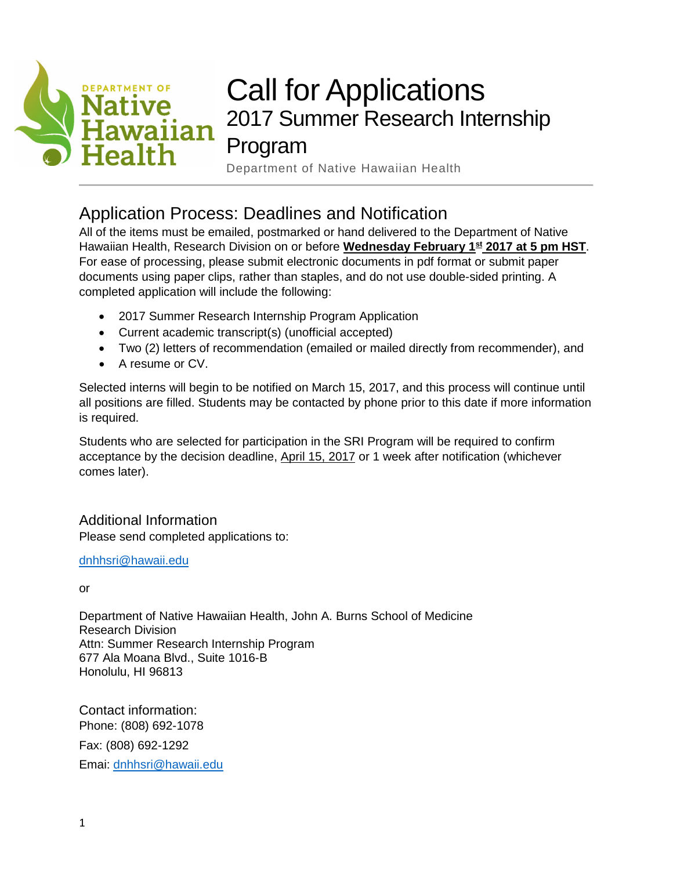

# Call for Applications 2017 Summer Research Internship Program

### Department of Native Hawaiian Health

# Application Process: Deadlines and Notification

All of the items must be emailed, postmarked or hand delivered to the Department of Native Hawaiian Health, Research Division on or before **Wednesday February 1<sup>st</sup> 2017 at 5 pm HST**. For ease of processing, please submit electronic documents in pdf format or submit paper documents using paper clips, rather than staples, and do not use double-sided printing. A completed application will include the following:

- 2017 Summer Research Internship Program Application
- Current academic transcript(s) (unofficial accepted)
- Two (2) letters of recommendation (emailed or mailed directly from recommender), and
- A resume or CV.

Selected interns will begin to be notified on March 15, 2017, and this process will continue until all positions are filled. Students may be contacted by phone prior to this date if more information is required.

Students who are selected for participation in the SRI Program will be required to confirm acceptance by the decision deadline, April 15, 2017 or 1 week after notification (whichever comes later).

Additional Information Please send completed applications to:

[dnhhsri@hawaii.edu](mailto:dnhhsri@hawaii.edu)

or

Department of Native Hawaiian Health, John A. Burns School of Medicine Research Division Attn: Summer Research Internship Program 677 Ala Moana Blvd., Suite 1016-B Honolulu, HI 96813

Contact information: Phone: (808) 692-1078 Fax: (808) 692-1292 Emai: [dnhhsri@hawaii.edu](mailto:dnhhsri@hawaii.edu)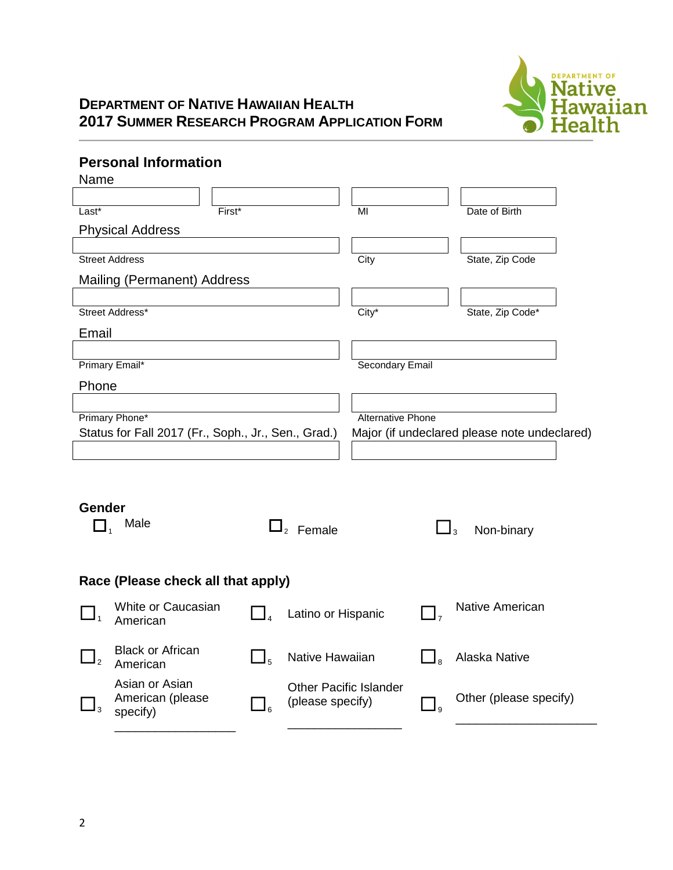

### **DEPARTMENT OF NATIVE HAWAIIAN HEALTH 2017 SUMMER RESEARCH PROGRAM APPLICATION FORM**

### **Personal Information**

| Name                                                |                                    |                |                                              |                          |                        |  |
|-----------------------------------------------------|------------------------------------|----------------|----------------------------------------------|--------------------------|------------------------|--|
|                                                     |                                    |                |                                              |                          |                        |  |
| Last*                                               |                                    | $First*$       | MI                                           |                          | Date of Birth          |  |
|                                                     | <b>Physical Address</b>            |                |                                              |                          |                        |  |
|                                                     |                                    |                |                                              |                          |                        |  |
|                                                     | <b>Street Address</b>              |                | City                                         |                          | State, Zip Code        |  |
|                                                     | Mailing (Permanent) Address        |                |                                              |                          |                        |  |
|                                                     |                                    |                |                                              |                          |                        |  |
|                                                     | Street Address*                    |                | $City^*$                                     |                          | State, Zip Code*       |  |
| Email                                               |                                    |                |                                              |                          |                        |  |
|                                                     |                                    |                |                                              |                          |                        |  |
|                                                     | Primary Email*                     |                |                                              | Secondary Email          |                        |  |
| Phone                                               |                                    |                |                                              |                          |                        |  |
|                                                     |                                    |                |                                              |                          |                        |  |
| Primary Phone*                                      |                                    |                |                                              | <b>Alternative Phone</b> |                        |  |
| Status for Fall 2017 (Fr., Soph., Jr., Sen., Grad.) |                                    |                | Major (if undeclared please note undeclared) |                          |                        |  |
|                                                     |                                    |                |                                              |                          |                        |  |
|                                                     |                                    |                |                                              |                          |                        |  |
|                                                     |                                    |                |                                              |                          |                        |  |
| Gender                                              |                                    |                |                                              |                          |                        |  |
| $\Box$ <sub>1</sub>                                 | Male                               |                | $\Box$ <sub>2</sub> Female                   |                          | $\Box_3$               |  |
|                                                     |                                    |                |                                              |                          | Non-binary             |  |
|                                                     |                                    |                |                                              |                          |                        |  |
|                                                     |                                    |                |                                              |                          |                        |  |
|                                                     | Race (Please check all that apply) |                |                                              |                          |                        |  |
|                                                     | White or Caucasian                 | $\mathbf{I}_4$ | Latino or Hispanic                           |                          | <b>Native American</b> |  |
|                                                     | American                           |                |                                              |                          |                        |  |
|                                                     | <b>Black or African</b>            |                |                                              |                          |                        |  |
| $\overline{2}$                                      | American                           | $\Box_5$       | Native Hawaiian                              | ⊿ a                      | Alaska Native          |  |
|                                                     | Asian or Asian                     |                |                                              |                          |                        |  |
|                                                     | American (please                   |                | <b>Other Pacific Islander</b>                |                          | Other (please specify) |  |
|                                                     | specify)                           | $\Box$         | (please specify)                             | $\Box$ <sub>9</sub>      |                        |  |
|                                                     |                                    |                |                                              |                          |                        |  |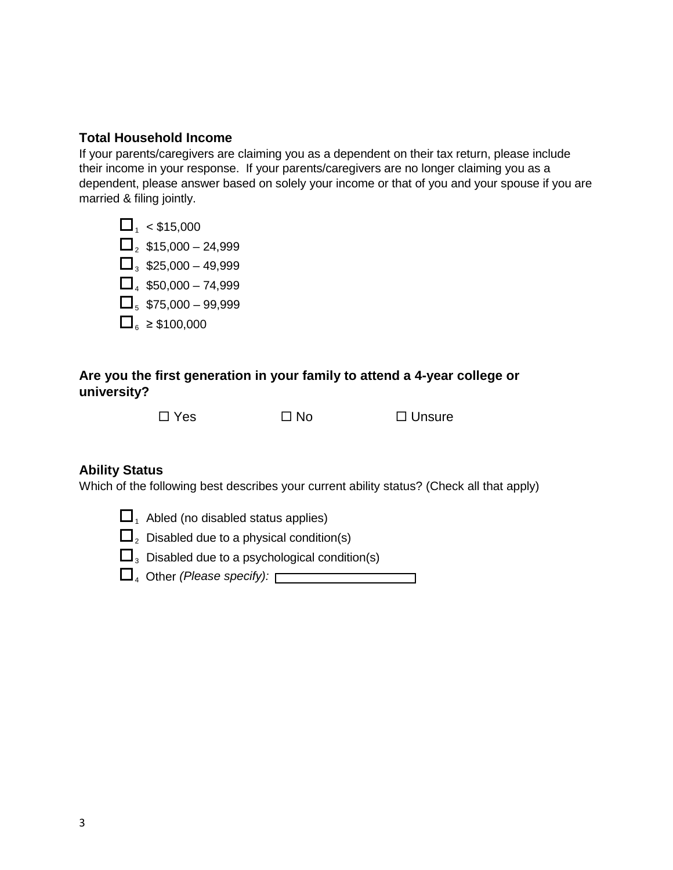#### **Total Household Income**

If your parents/caregivers are claiming you as a dependent on their tax return, please include their income in your response. If your parents/caregivers are no longer claiming you as a dependent, please answer based on solely your income or that of you and your spouse if you are married & filing jointly.



#### **Are you the first generation in your family to attend a 4-year college or university?**

 $\square$  Yes  $\square$  No  $\square$  Unsure

#### **Ability Status**

Which of the following best describes your current ability status? (Check all that apply)

- $\Box$ <sub>1</sub> Abled (no disabled status applies)
- $\Box$ <sub>2</sub> Disabled due to a physical condition(s)
- $\Box$ <sub>3</sub> Disabled due to a psychological condition(s)
- 4 Other *(Please specify):*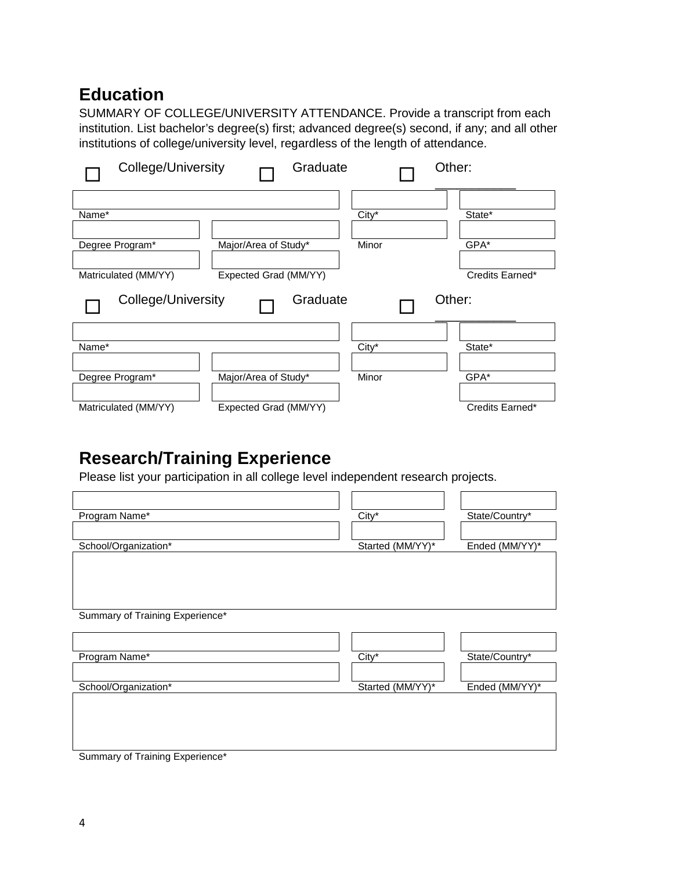# **Education**

SUMMARY OF COLLEGE/UNIVERSITY ATTENDANCE. Provide a transcript from each institution. List bachelor's degree(s) first; advanced degree(s) second, if any; and all other institutions of college/university level, regardless of the length of attendance.

| College/University   |                       | Graduate | Other:          |
|----------------------|-----------------------|----------|-----------------|
|                      |                       |          |                 |
| Name*                |                       | City*    | State*          |
| Degree Program*      | Major/Area of Study*  | Minor    | GPA*            |
| Matriculated (MM/YY) | Expected Grad (MM/YY) |          | Credits Earned* |
|                      |                       |          |                 |
| College/University   |                       | Graduate | Other:          |
|                      |                       |          |                 |
| Name*                |                       | City*    | State*          |
| Degree Program*      | Major/Area of Study*  | Minor    | GPA*            |

# **Research/Training Experience**

Please list your participation in all college level independent research projects.

| Program Name*                   | City*            | State/Country* |
|---------------------------------|------------------|----------------|
| School/Organization*            | Started (MM/YY)* | Ended (MM/YY)* |
|                                 |                  |                |
| Summary of Training Experience* |                  |                |
| Program Name*                   | City*            | State/Country* |
| School/Organization*            | Started (MM/YY)* | Ended (MM/YY)* |
|                                 |                  |                |
| Summary of Training Experience* |                  |                |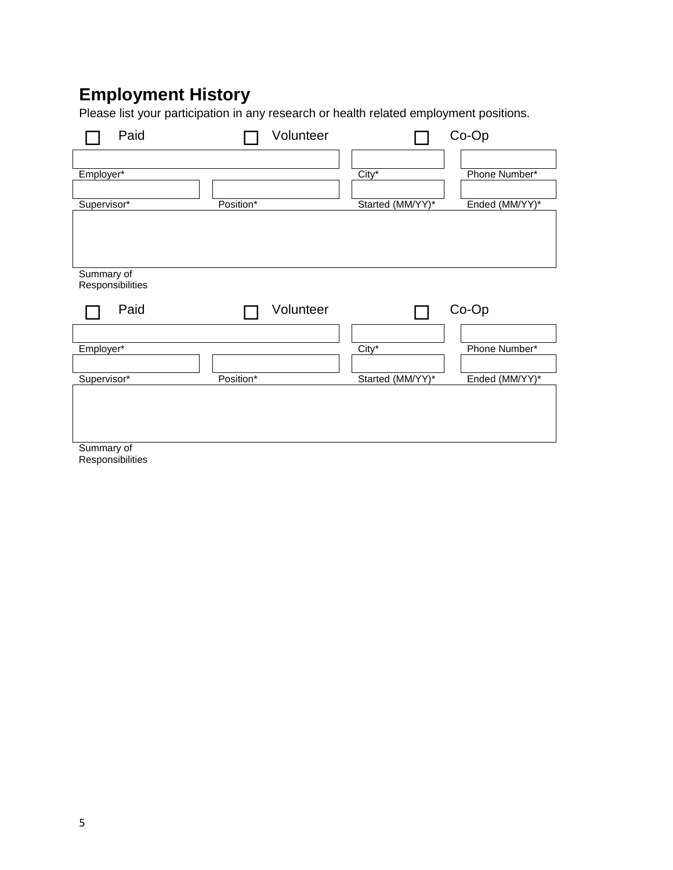# **Employment History**

Please list your participation in any research or health related employment positions.

| Paid                           |           | Volunteer |                  | Co-Op          |
|--------------------------------|-----------|-----------|------------------|----------------|
| Employer*                      |           |           | City*            | Phone Number*  |
|                                |           |           |                  |                |
| Supervisor*                    | Position* |           | Started (MM/YY)* | Ended (MM/YY)* |
|                                |           |           |                  |                |
| Summary of<br>Responsibilities |           |           |                  |                |
| Paid                           |           | Volunteer |                  | Co-Op          |
|                                |           |           |                  |                |
| Employer*                      |           |           | City*            | Phone Number*  |
|                                |           |           |                  |                |
|                                |           |           |                  | Ended (MM/YY)* |
| Supervisor*                    | Position* |           | Started (MM/YY)* |                |

Responsibilities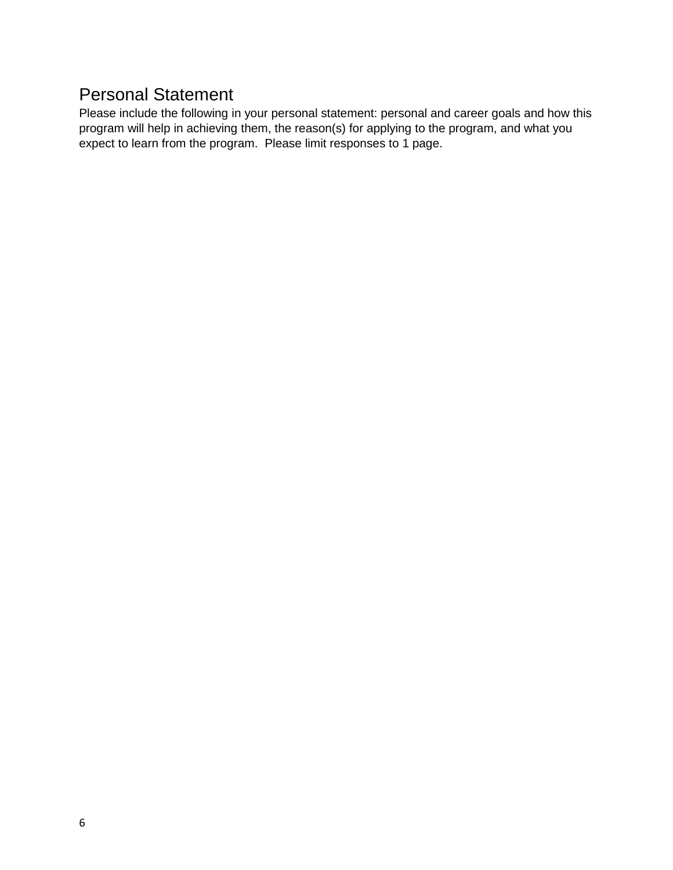# Personal Statement

Please include the following in your personal statement: personal and career goals and how this program will help in achieving them, the reason(s) for applying to the program, and what you expect to learn from the program. Please limit responses to 1 page.